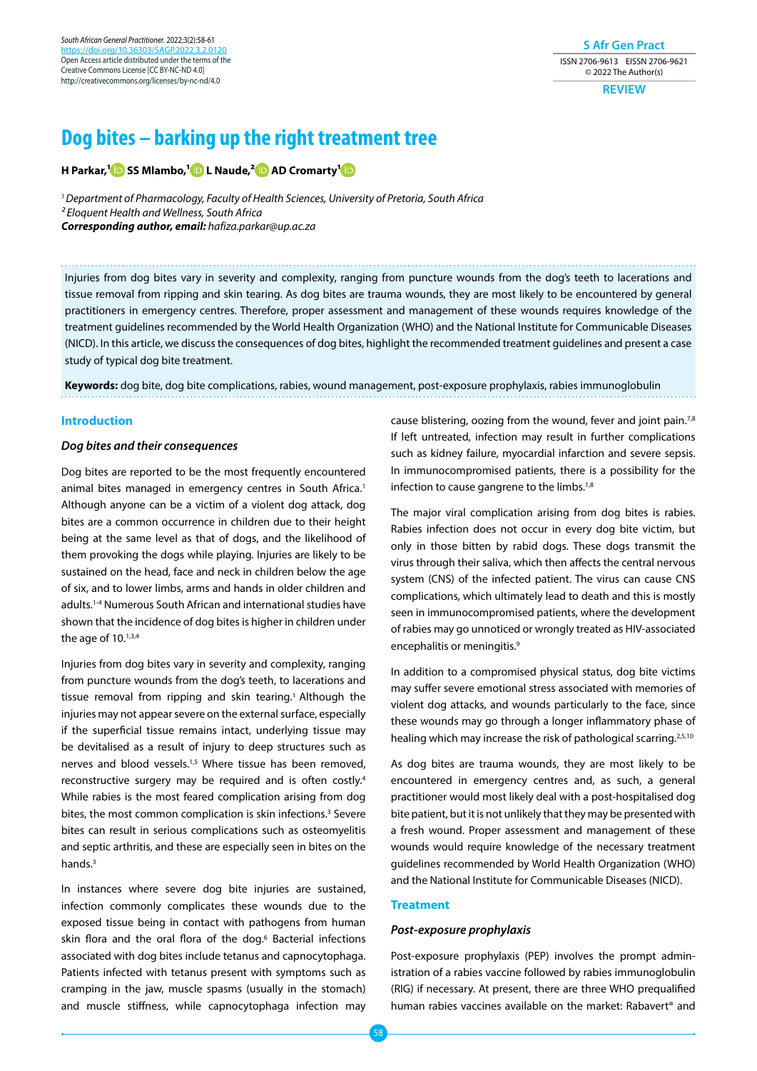*South African General Practitioner.* 2022;3(2):58-61 [https://doi.org/10.36303/SAGP.2022.3.2.0](https://doi.org/10.36303/SAGP.2022.3.2.0120)120 Open Access article distributed under the terms of the Creative Commons License [CC BY-NC-ND 4.0] http://creativecommons.org/licenses/by-nc-nd/4.0

**S Afr Gen Pract** ISSN 2706-9613 EISSN 2706-9621 © 2022 The Author(s)

**REVIEW**

# **Dog bites – barking up the right treatment tree**

**H Parkar,[1 S](https://orcid.org/0000-0003-3732-1409)S Mlambo,[1](https://orcid.org/0000-0002-5622-2046) L Naude,[2 A](https://orcid.org/0000-0002-6414-5802)D Cromarty[1](https://orcid.org/0000-0002-9512-6081)**

*1 Department of Pharmacology, Faculty of Health Sciences, University of Pretoria, South Africa 2 Eloquent Health and Wellness, South Africa Corresponding author, email: hafiza.parkar@up.ac.za* 

Injuries from dog bites vary in severity and complexity, ranging from puncture wounds from the dog's teeth to lacerations and tissue removal from ripping and skin tearing. As dog bites are trauma wounds, they are most likely to be encountered by general practitioners in emergency centres. Therefore, proper assessment and management of these wounds requires knowledge of the treatment guidelines recommended by the World Health Organization (WHO) and the National Institute for Communicable Diseases (NICD). In this article, we discuss the consequences of dog bites, highlight the recommended treatment guidelines and present a case study of typical dog bite treatment.

**Keywords:** dog bite, dog bite complications, rabies, wound management, post-exposure prophylaxis, rabies immunoglobulin

## **Introduction**

# *Dog bites and their consequences*

Dog bites are reported to be the most frequently encountered animal bites managed in emergency centres in South Africa.<sup>1</sup> Although anyone can be a victim of a violent dog attack, dog bites are a common occurrence in children due to their height being at the same level as that of dogs, and the likelihood of them provoking the dogs while playing. Injuries are likely to be sustained on the head, face and neck in children below the age of six, and to lower limbs, arms and hands in older children and adults.1-4 Numerous South African and international studies have shown that the incidence of dog bites is higher in children under the age of 10.<sup>1,3,4</sup>

Injuries from dog bites vary in severity and complexity, ranging from puncture wounds from the dog's teeth, to lacerations and tissue removal from ripping and skin tearing.<sup>1</sup> Although the injuries may not appear severe on the external surface, especially if the superficial tissue remains intact, underlying tissue may be devitalised as a result of injury to deep structures such as nerves and blood vessels.<sup>1,5</sup> Where tissue has been removed, reconstructive surgery may be required and is often costly.4 While rabies is the most feared complication arising from dog bites, the most common complication is skin infections.<sup>3</sup> Severe bites can result in serious complications such as osteomyelitis and septic arthritis, and these are especially seen in bites on the hands.3

In instances where severe dog bite injuries are sustained, infection commonly complicates these wounds due to the exposed tissue being in contact with pathogens from human skin flora and the oral flora of the dog.<sup>6</sup> Bacterial infections associated with dog bites include tetanus and capnocytophaga. Patients infected with tetanus present with symptoms such as cramping in the jaw, muscle spasms (usually in the stomach) and muscle stiffness, while capnocytophaga infection may

cause blistering, oozing from the wound, fever and joint pain.7,8 If left untreated, infection may result in further complications such as kidney failure, myocardial infarction and severe sepsis. In immunocompromised patients, there is a possibility for the infection to cause gangrene to the limbs.<sup>1,8</sup>

The major viral complication arising from dog bites is rabies. Rabies infection does not occur in every dog bite victim, but only in those bitten by rabid dogs. These dogs transmit the virus through their saliva, which then affects the central nervous system (CNS) of the infected patient. The virus can cause CNS complications, which ultimately lead to death and this is mostly seen in immunocompromised patients, where the development of rabies may go unnoticed or wrongly treated as HIV-associated encephalitis or meningitis.<sup>9</sup>

In addition to a compromised physical status, dog bite victims may suffer severe emotional stress associated with memories of violent dog attacks, and wounds particularly to the face, since these wounds may go through a longer inflammatory phase of healing which may increase the risk of pathological scarring.<sup>2,5,10</sup>

As dog bites are trauma wounds, they are most likely to be encountered in emergency centres and, as such, a general practitioner would most likely deal with a post-hospitalised dog bite patient, but it is not unlikely that they may be presented with a fresh wound. Proper assessment and management of these wounds would require knowledge of the necessary treatment guidelines recommended by World Health Organization (WHO) and the National Institute for Communicable Diseases (NICD).

## **Treatment**

#### *Post-exposure prophylaxis*

Post-exposure prophylaxis (PEP) involves the prompt administration of a rabies vaccine followed by rabies immunoglobulin (RIG) if necessary. At present, there are three WHO prequalified human rabies vaccines available on the market: Rabavert® and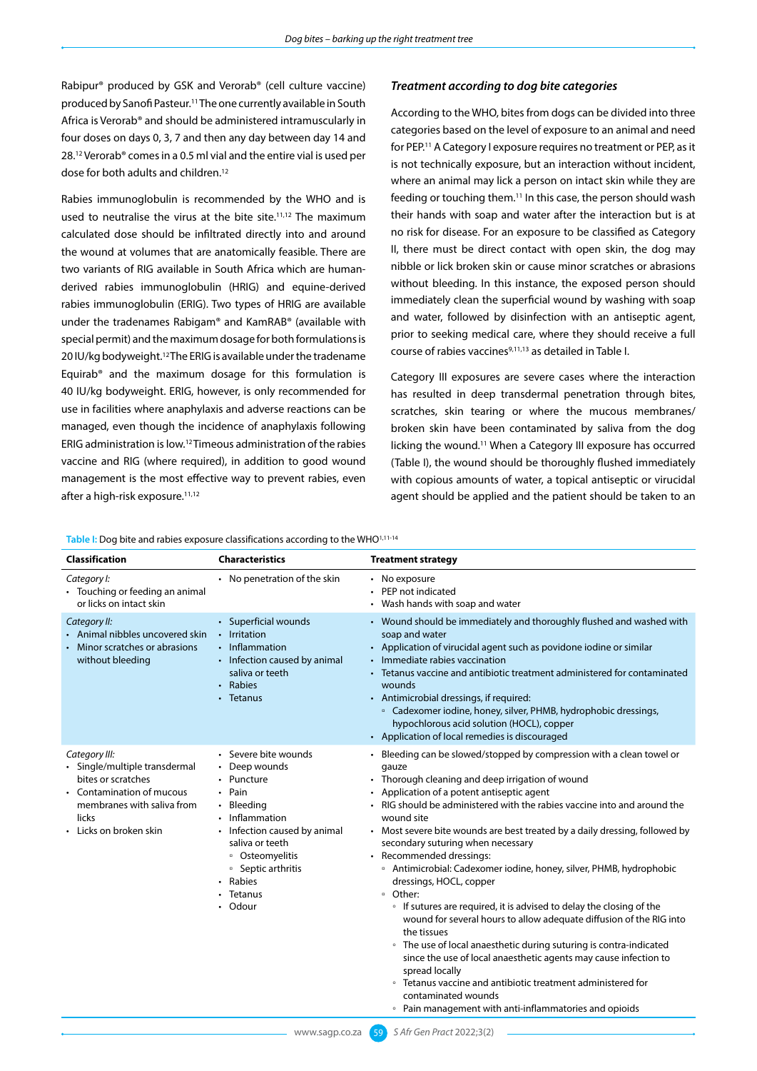Rabipur® produced by GSK and Verorab® (cell culture vaccine) produced by Sanofi Pasteur.11 The one currently available in South Africa is Verorab® and should be administered intramuscularly in four doses on days 0, 3, 7 and then any day between day 14 and 28.12 Verorab® comes in a 0.5 ml vial and the entire vial is used per dose for both adults and children.12

Rabies immunoglobulin is recommended by the WHO and is used to neutralise the virus at the bite site.<sup>11,12</sup> The maximum calculated dose should be infiltrated directly into and around the wound at volumes that are anatomically feasible. There are two variants of RIG available in South Africa which are humanderived rabies immunoglobulin (HRIG) and equine-derived rabies immunoglobulin (ERIG). Two types of HRIG are available under the tradenames Rabigam® and KamRAB® (available with special permit) and the maximum dosage for both formulations is 20 IU/kg bodyweight.12 The ERIG is available under the tradename Equirab® and the maximum dosage for this formulation is 40 IU/kg bodyweight. ERIG, however, is only recommended for use in facilities where anaphylaxis and adverse reactions can be managed, even though the incidence of anaphylaxis following ERIG administration is low.12 Timeous administration of the rabies vaccine and RIG (where required), in addition to good wound management is the most effective way to prevent rabies, even after a high-risk exposure.<sup>11,12</sup>

#### *Treatment according to dog bite categories*

According to the WHO, bites from dogs can be divided into three categories based on the level of exposure to an animal and need for PEP.11 A Category I exposure requires no treatment or PEP, as it is not technically exposure, but an interaction without incident, where an animal may lick a person on intact skin while they are feeding or touching them.<sup>11</sup> In this case, the person should wash their hands with soap and water after the interaction but is at no risk for disease. For an exposure to be classified as Category II, there must be direct contact with open skin, the dog may nibble or lick broken skin or cause minor scratches or abrasions without bleeding. In this instance, the exposed person should immediately clean the superficial wound by washing with soap and water, followed by disinfection with an antiseptic agent, prior to seeking medical care, where they should receive a full course of rabies vaccines<sup>9,11,13</sup> as detailed in Table I.

Category III exposures are severe cases where the interaction has resulted in deep transdermal penetration through bites, scratches, skin tearing or where the mucous membranes/ broken skin have been contaminated by saliva from the dog licking the wound.11 When a Category III exposure has occurred (Table I), the wound should be thoroughly flushed immediately with copious amounts of water, a topical antiseptic or virucidal agent should be applied and the patient should be taken to an

|  | Table I: Dog bite and rabies exposure classifications according to the WHO 1,11-14 |
|--|------------------------------------------------------------------------------------|
|  |                                                                                    |

| <b>Classification</b>                                                                                                                                              | <b>Characteristics</b>                                                                                                                                                                                                                         | <b>Treatment strategy</b>                                                                                                                                                                                                                                                                                                                                                                                                                                                                                                                                                                                                                                                                                                                                                                                                                                                                                                                                                                                                          |
|--------------------------------------------------------------------------------------------------------------------------------------------------------------------|------------------------------------------------------------------------------------------------------------------------------------------------------------------------------------------------------------------------------------------------|------------------------------------------------------------------------------------------------------------------------------------------------------------------------------------------------------------------------------------------------------------------------------------------------------------------------------------------------------------------------------------------------------------------------------------------------------------------------------------------------------------------------------------------------------------------------------------------------------------------------------------------------------------------------------------------------------------------------------------------------------------------------------------------------------------------------------------------------------------------------------------------------------------------------------------------------------------------------------------------------------------------------------------|
| Category I:<br>• Touching or feeding an animal<br>or licks on intact skin                                                                                          | • No penetration of the skin                                                                                                                                                                                                                   | • No exposure<br>PEP not indicated<br>Wash hands with soap and water                                                                                                                                                                                                                                                                                                                                                                                                                                                                                                                                                                                                                                                                                                                                                                                                                                                                                                                                                               |
| Category II:<br>• Animal nibbles uncovered skin<br>Minor scratches or abrasions<br>$\bullet$<br>without bleeding                                                   | • Superficial wounds<br>• Irritation<br>• Inflammation<br>• Infection caused by animal<br>saliva or teeth<br>• Rabies<br>• Tetanus                                                                                                             | Wound should be immediately and thoroughly flushed and washed with<br>$\bullet$<br>soap and water<br>• Application of virucidal agent such as povidone iodine or similar<br>• Immediate rabies vaccination<br>• Tetanus vaccine and antibiotic treatment administered for contaminated<br>wounds<br>• Antimicrobial dressings, if required:<br><sup>o</sup> Cadexomer iodine, honey, silver, PHMB, hydrophobic dressings,<br>hypochlorous acid solution (HOCL), copper<br>• Application of local remedies is discouraged                                                                                                                                                                                                                                                                                                                                                                                                                                                                                                           |
| Category III:<br>· Single/multiple transdermal<br>bites or scratches<br>• Contamination of mucous<br>membranes with saliva from<br>licks<br>• Licks on broken skin | • Severe bite wounds<br>Deep wounds<br>Puncture<br>Pain<br>Bleeding<br>Inflammation<br>$\bullet$<br>Infection caused by animal<br>saliva or teeth<br><sup>o</sup> Osteomyelitis<br><sup>o</sup> Septic arthritis<br>Rabies<br>Tetanus<br>Odour | Bleeding can be slowed/stopped by compression with a clean towel or<br>qauze<br>• Thorough cleaning and deep irrigation of wound<br>Application of a potent antiseptic agent<br>RIG should be administered with the rabies vaccine into and around the<br>wound site<br>• Most severe bite wounds are best treated by a daily dressing, followed by<br>secondary suturing when necessary<br>• Recommended dressings:<br><sup>o</sup> Antimicrobial: Cadexomer iodine, honey, silver, PHMB, hydrophobic<br>dressings, HOCL, copper<br><sup>o</sup> Other:<br>• If sutures are required, it is advised to delay the closing of the<br>wound for several hours to allow adequate diffusion of the RIG into<br>the tissues<br>• The use of local anaesthetic during suturing is contra-indicated<br>since the use of local anaesthetic agents may cause infection to<br>spread locally<br>• Tetanus vaccine and antibiotic treatment administered for<br>contaminated wounds<br>• Pain management with anti-inflammatories and opioids |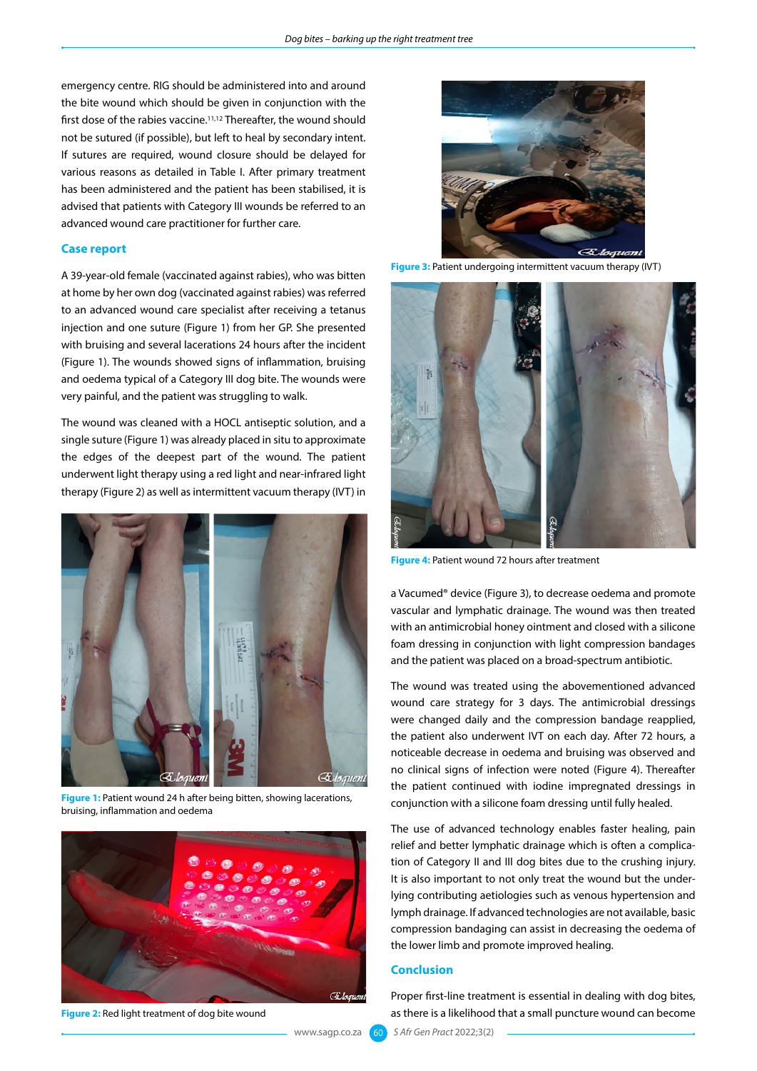emergency centre. RIG should be administered into and around the bite wound which should be given in conjunction with the first dose of the rabies vaccine.11,12 Thereafter, the wound should not be sutured (if possible), but left to heal by secondary intent. If sutures are required, wound closure should be delayed for various reasons as detailed in Table I. After primary treatment has been administered and the patient has been stabilised, it is advised that patients with Category III wounds be referred to an advanced wound care practitioner for further care.

## **Case report**

A 39-year-old female (vaccinated against rabies), who was bitten at home by her own dog (vaccinated against rabies) was referred to an advanced wound care specialist after receiving a tetanus injection and one suture (Figure 1) from her GP. She presented with bruising and several lacerations 24 hours after the incident (Figure 1). The wounds showed signs of inflammation, bruising and oedema typical of a Category III dog bite. The wounds were very painful, and the patient was struggling to walk.

The wound was cleaned with a HOCL antiseptic solution, and a single suture (Figure 1) was already placed in situ to approximate the edges of the deepest part of the wound. The patient underwent light therapy using a red light and near-infrared light therapy (Figure 2) as well as intermittent vacuum therapy (IVT) in



**Figure 1:** Patient wound 24 h after being bitten, showing lacerations, bruising, inflammation and oedema



**Figure 2:** Red light treatment of dog bite wound





**Figure 3:** Patient undergoing intermittent vacuum therapy (IVT)



**Figure 4:** Patient wound 72 hours after treatment

a Vacumed® device (Figure 3), to decrease oedema and promote vascular and lymphatic drainage. The wound was then treated with an antimicrobial honey ointment and closed with a silicone foam dressing in conjunction with light compression bandages and the patient was placed on a broad-spectrum antibiotic.

The wound was treated using the abovementioned advanced wound care strategy for 3 days. The antimicrobial dressings were changed daily and the compression bandage reapplied, the patient also underwent IVT on each day. After 72 hours, a noticeable decrease in oedema and bruising was observed and no clinical signs of infection were noted (Figure 4). Thereafter the patient continued with iodine impregnated dressings in conjunction with a silicone foam dressing until fully healed.

The use of advanced technology enables faster healing, pain relief and better lymphatic drainage which is often a complication of Category II and III dog bites due to the crushing injury. It is also important to not only treat the wound but the underlying contributing aetiologies such as venous hypertension and lymph drainage. If advanced technologies are not available, basic compression bandaging can assist in decreasing the oedema of the lower limb and promote improved healing.

#### **Conclusion**

Proper first-line treatment is essential in dealing with dog bites, as there is a likelihood that a small puncture wound can become